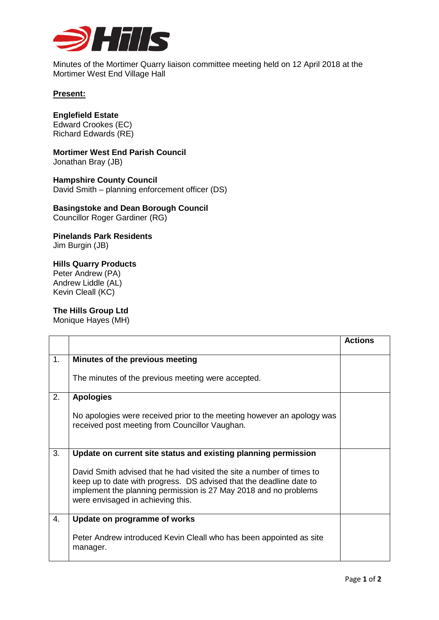

Minutes of the Mortimer Quarry liaison committee meeting held on 12 April 2018 at the Mortimer West End Village Hall

### **Present:**

# **Englefield Estate**

Edward Crookes (EC) Richard Edwards (RE)

#### **Mortimer West End Parish Council** Jonathan Bray (JB)

**Hampshire County Council** David Smith – planning enforcement officer (DS)

# **Basingstoke and Dean Borough Council**

Councillor Roger Gardiner (RG)

### **Pinelands Park Residents** Jim Burgin (JB)

## **Hills Quarry Products**

Peter Andrew (PA) Andrew Liddle (AL) Kevin Cleall (KC)

## **The Hills Group Ltd**

Monique Hayes (MH)

|    |                                                                                                                                                                                                                                                       | <b>Actions</b> |
|----|-------------------------------------------------------------------------------------------------------------------------------------------------------------------------------------------------------------------------------------------------------|----------------|
| 1. | Minutes of the previous meeting                                                                                                                                                                                                                       |                |
|    | The minutes of the previous meeting were accepted.                                                                                                                                                                                                    |                |
| 2. | <b>Apologies</b>                                                                                                                                                                                                                                      |                |
|    | No apologies were received prior to the meeting however an apology was<br>received post meeting from Councillor Vaughan.                                                                                                                              |                |
| 3. | Update on current site status and existing planning permission                                                                                                                                                                                        |                |
|    | David Smith advised that he had visited the site a number of times to<br>keep up to date with progress. DS advised that the deadline date to<br>implement the planning permission is 27 May 2018 and no problems<br>were envisaged in achieving this. |                |
| 4. | Update on programme of works                                                                                                                                                                                                                          |                |
|    | Peter Andrew introduced Kevin Cleall who has been appointed as site<br>manager.                                                                                                                                                                       |                |